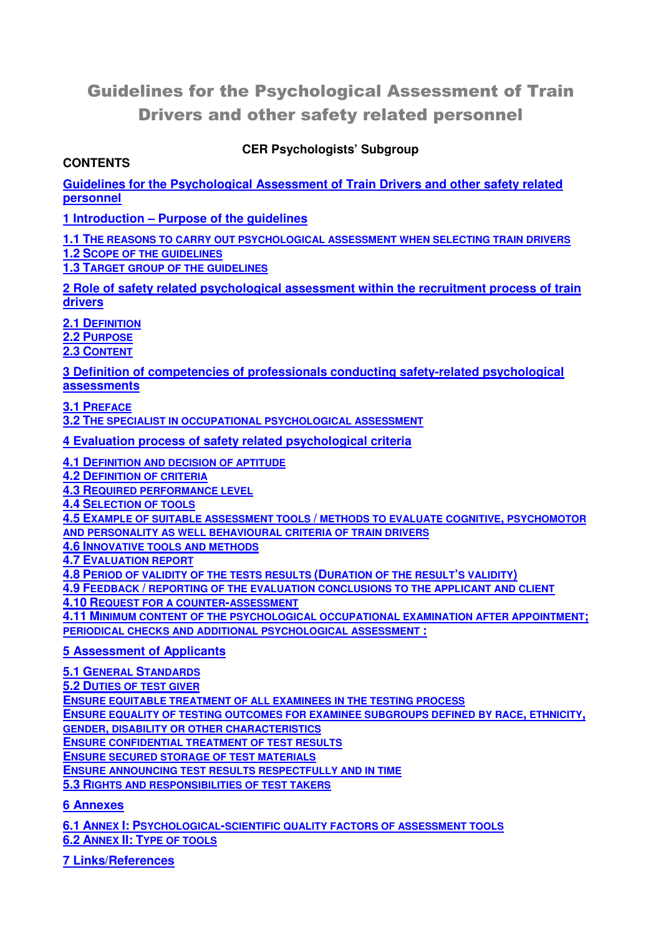# Guidelines for the Psychological Assessment of Train Drivers and other safety related personnel

# **CER Psychologists' Subgroup**

#### **CONTENTS**

**Guidelines for the Psychological Assessment of Train Drivers and other safety related personnel**

**1 Introduction – Purpose of the guidelines**

**1.1 THE REASONS TO CARRY OUT PSYCHOLOGICAL ASSESSMENT WHEN SELECTING TRAIN DRIVERS 1.2 SCOPE OF THE GUIDELINES**

**1.3 TARGET GROUP OF THE GUIDELINES**

**2 Role of safety related psychological assessment within the recruitment process of train drivers**

**2.1 DEFINITION**

**2.2 PURPOSE**

**2.3 CONTENT**

**3 Definition of competencies of professionals conducting safety-related psychological assessments**

**3.1 PREFACE**

**3.2 THE SPECIALIST IN OCCUPATIONAL PSYCHOLOGICAL ASSESSMENT**

**4 Evaluation process of safety related psychological criteria**

**4.1 DEFINITION AND DECISION OF APTITUDE**

**4.2 DEFINITION OF CRITERIA**

**4.3 REQUIRED PERFORMANCE LEVEL**

**4.4 SELECTION OF TOOLS**

**4.5 EXAMPLE OF SUITABLE ASSESSMENT TOOLS / METHODS TO EVALUATE COGNITIVE, PSYCHOMOTOR** 

**AND PERSONALITY AS WELL BEHAVIOURAL CRITERIA OF TRAIN DRIVERS**

**4.6 INNOVATIVE TOOLS AND METHODS**

**4.7 EVALUATION REPORT**

**4.8 PERIOD OF VALIDITY OF THE TESTS RESULTS (DURATION OF THE RESULT'S VALIDITY)**

**4.9 FEEDBACK / REPORTING OF THE EVALUATION CONCLUSIONS TO THE APPLICANT AND CLIENT**

**4.10 REQUEST FOR A COUNTER-ASSESSMENT**

**4.11 MINIMUM CONTENT OF THE PSYCHOLOGICAL OCCUPATIONAL EXAMINATION AFTER APPOINTMENT; PERIODICAL CHECKS AND ADDITIONAL PSYCHOLOGICAL ASSESSMENT :**

#### **5 Assessment of Applicants**

**5.1 GENERAL STANDARDS 5.2 DUTIES OF TEST GIVER ENSURE EQUITABLE TREATMENT OF ALL EXAMINEES IN THE TESTING PROCESS ENSURE EQUALITY OF TESTING OUTCOMES FOR EXAMINEE SUBGROUPS DEFINED BY RACE, ETHNICITY, GENDER, DISABILITY OR OTHER CHARACTERISTICS ENSURE CONFIDENTIAL TREATMENT OF TEST RESULTS ENSURE SECURED STORAGE OF TEST MATERIALS ENSURE ANNOUNCING TEST RESULTS RESPECTFULLY AND IN TIME 5.3 RIGHTS AND RESPONSIBILITIES OF TEST TAKERS**

#### **6 Annexes**

**6.1 ANNEX I: PSYCHOLOGICAL-SCIENTIFIC QUALITY FACTORS OF ASSESSMENT TOOLS 6.2 ANNEX II: TYPE OF TOOLS**

**7 Links/References**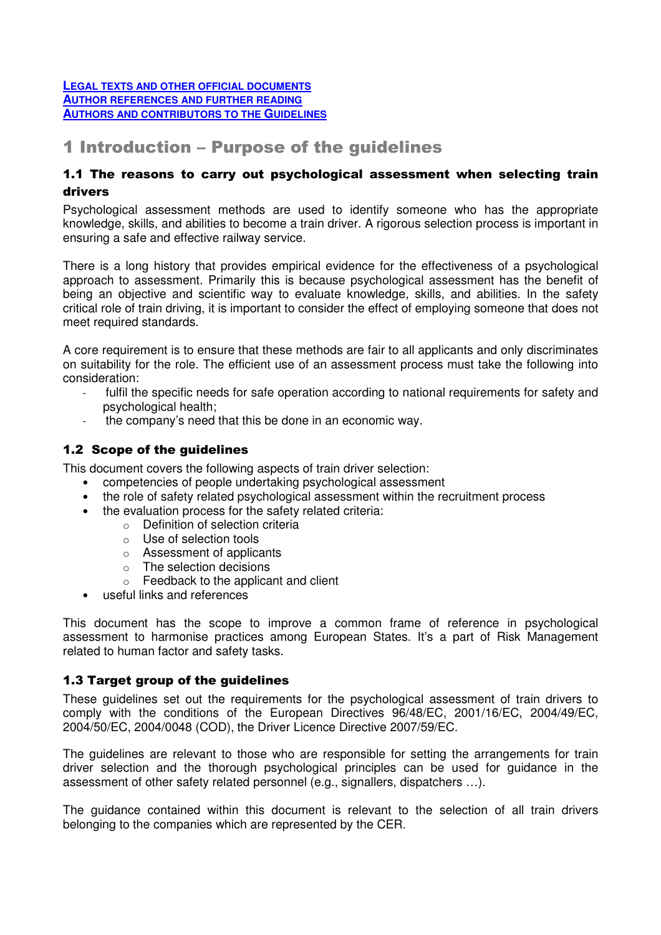#### **LEGAL TEXTS AND OTHER OFFICIAL DOCUMENTS AUTHOR REFERENCES AND FURTHER READING AUTHORS AND CONTRIBUTORS TO THE GUIDELINES**

# 1 Introduction – Purpose of the guidelines

## 1.1 The reasons to carry out psychological assessment when selecting train drivers

Psychological assessment methods are used to identify someone who has the appropriate knowledge, skills, and abilities to become a train driver. A rigorous selection process is important in ensuring a safe and effective railway service.

There is a long history that provides empirical evidence for the effectiveness of a psychological approach to assessment. Primarily this is because psychological assessment has the benefit of being an objective and scientific way to evaluate knowledge, skills, and abilities. In the safety critical role of train driving, it is important to consider the effect of employing someone that does not meet required standards.

A core requirement is to ensure that these methods are fair to all applicants and only discriminates on suitability for the role. The efficient use of an assessment process must take the following into consideration:

- fulfil the specific needs for safe operation according to national requirements for safety and psychological health;
- the company's need that this be done in an economic way.

## 1.2 Scope of the guidelines

This document covers the following aspects of train driver selection:

- competencies of people undertaking psychological assessment
- the role of safety related psychological assessment within the recruitment process
- the evaluation process for the safety related criteria:
	- o Definition of selection criteria
	- o Use of selection tools
	- o Assessment of applicants
	- $\circ$  The selection decisions
	- o Feedback to the applicant and client
- useful links and references

This document has the scope to improve a common frame of reference in psychological assessment to harmonise practices among European States. It's a part of Risk Management related to human factor and safety tasks.

## 1.3 Target group of the quidelines

These guidelines set out the requirements for the psychological assessment of train drivers to comply with the conditions of the European Directives 96/48/EC, 2001/16/EC, 2004/49/EC, 2004/50/EC, 2004/0048 (COD), the Driver Licence Directive 2007/59/EC.

The guidelines are relevant to those who are responsible for setting the arrangements for train driver selection and the thorough psychological principles can be used for guidance in the assessment of other safety related personnel (e.g., signallers, dispatchers …).

The guidance contained within this document is relevant to the selection of all train drivers belonging to the companies which are represented by the CER.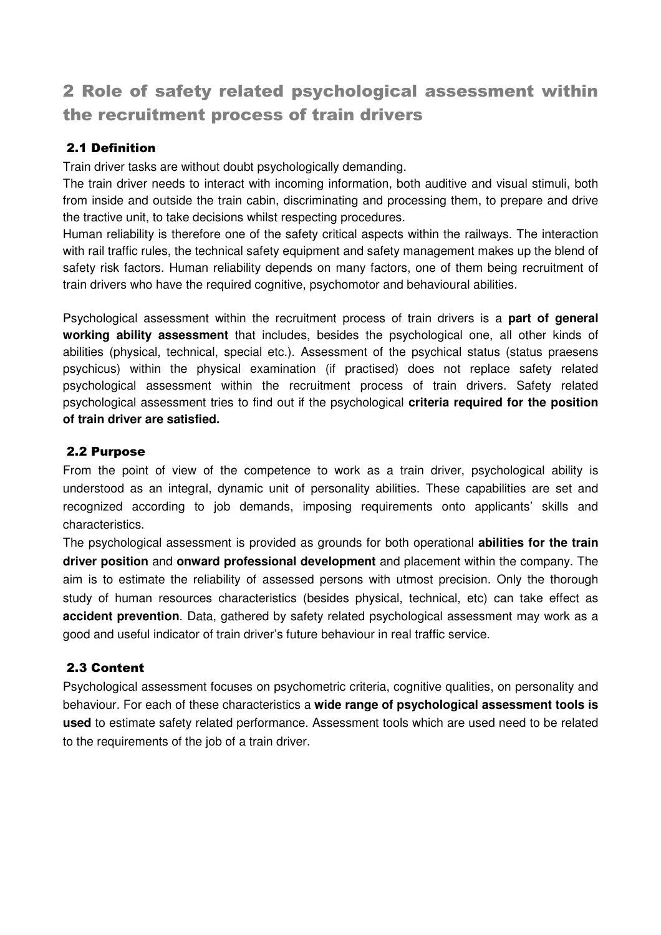# 2 Role of safety related psychological assessment within the recruitment process of train drivers

# 2.1 Definition

Train driver tasks are without doubt psychologically demanding.

The train driver needs to interact with incoming information, both auditive and visual stimuli, both from inside and outside the train cabin, discriminating and processing them, to prepare and drive the tractive unit, to take decisions whilst respecting procedures.

Human reliability is therefore one of the safety critical aspects within the railways. The interaction with rail traffic rules, the technical safety equipment and safety management makes up the blend of safety risk factors. Human reliability depends on many factors, one of them being recruitment of train drivers who have the required cognitive, psychomotor and behavioural abilities.

Psychological assessment within the recruitment process of train drivers is a **part of general working ability assessment** that includes, besides the psychological one, all other kinds of abilities (physical, technical, special etc.). Assessment of the psychical status (status praesens psychicus) within the physical examination (if practised) does not replace safety related psychological assessment within the recruitment process of train drivers. Safety related psychological assessment tries to find out if the psychological **criteria required for the position of train driver are satisfied.** 

## 2.2 Purpose

From the point of view of the competence to work as a train driver, psychological ability is understood as an integral, dynamic unit of personality abilities. These capabilities are set and recognized according to job demands, imposing requirements onto applicants' skills and characteristics.

The psychological assessment is provided as grounds for both operational **abilities for the train driver position** and **onward professional development** and placement within the company. The aim is to estimate the reliability of assessed persons with utmost precision. Only the thorough study of human resources characteristics (besides physical, technical, etc) can take effect as **accident prevention**. Data, gathered by safety related psychological assessment may work as a good and useful indicator of train driver's future behaviour in real traffic service.

# 2.3 Content

Psychological assessment focuses on psychometric criteria, cognitive qualities, on personality and behaviour. For each of these characteristics a **wide range of psychological assessment tools is used** to estimate safety related performance. Assessment tools which are used need to be related to the requirements of the job of a train driver.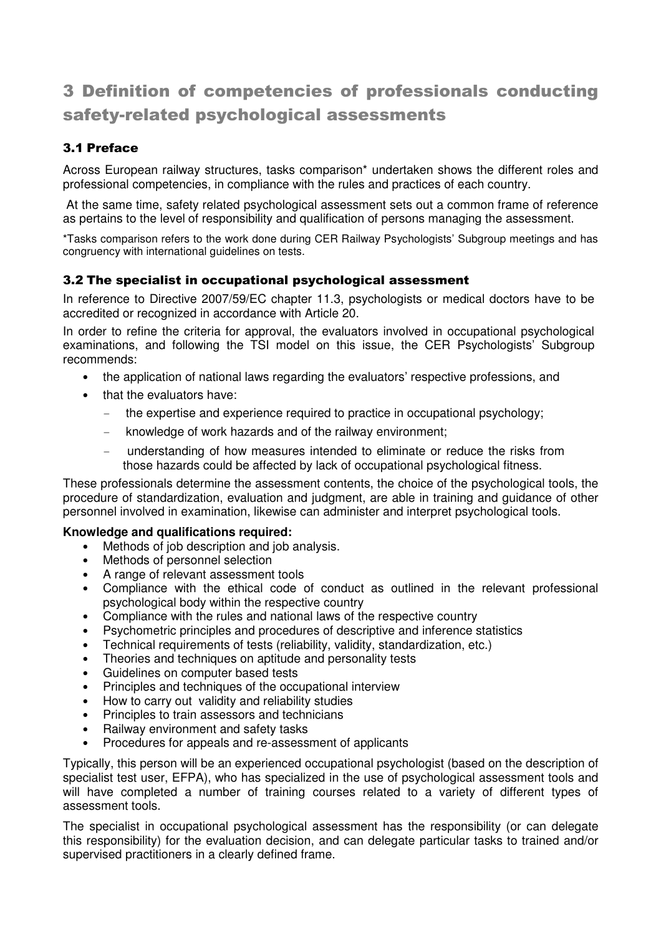# 3 Definition of competencies of professionals conducting safety-related psychological assessments

# 3.1 Preface

Across European railway structures, tasks comparison\* undertaken shows the different roles and professional competencies, in compliance with the rules and practices of each country.

 At the same time, safety related psychological assessment sets out a common frame of reference as pertains to the level of responsibility and qualification of persons managing the assessment.

\*Tasks comparison refers to the work done during CER Railway Psychologists' Subgroup meetings and has congruency with international guidelines on tests.

## 3.2 The specialist in occupational psychological assessment

In reference to Directive 2007/59/EC chapter 11.3, psychologists or medical doctors have to be accredited or recognized in accordance with Article 20.

In order to refine the criteria for approval, the evaluators involved in occupational psychological examinations, and following the TSI model on this issue, the CER Psychologists' Subgroup recommends:

- the application of national laws regarding the evaluators' respective professions, and
- that the evaluators have:
	- the expertise and experience required to practice in occupational psychology;
	- knowledge of work hazards and of the railway environment;
	- understanding of how measures intended to eliminate or reduce the risks from those hazards could be affected by lack of occupational psychological fitness.

These professionals determine the assessment contents, the choice of the psychological tools, the procedure of standardization, evaluation and judgment, are able in training and guidance of other personnel involved in examination, likewise can administer and interpret psychological tools.

#### **Knowledge and qualifications required:**

- Methods of job description and job analysis.
- Methods of personnel selection
- A range of relevant assessment tools
- Compliance with the ethical code of conduct as outlined in the relevant professional psychological body within the respective country
- Compliance with the rules and national laws of the respective country
- Psychometric principles and procedures of descriptive and inference statistics
- Technical requirements of tests (reliability, validity, standardization, etc.)
- Theories and techniques on aptitude and personality tests
- Guidelines on computer based tests
- Principles and techniques of the occupational interview
- How to carry out validity and reliability studies
- Principles to train assessors and technicians
- Railway environment and safety tasks
- Procedures for appeals and re-assessment of applicants

Typically, this person will be an experienced occupational psychologist (based on the description of specialist test user, EFPA), who has specialized in the use of psychological assessment tools and will have completed a number of training courses related to a variety of different types of assessment tools.

The specialist in occupational psychological assessment has the responsibility (or can delegate this responsibility) for the evaluation decision, and can delegate particular tasks to trained and/or supervised practitioners in a clearly defined frame.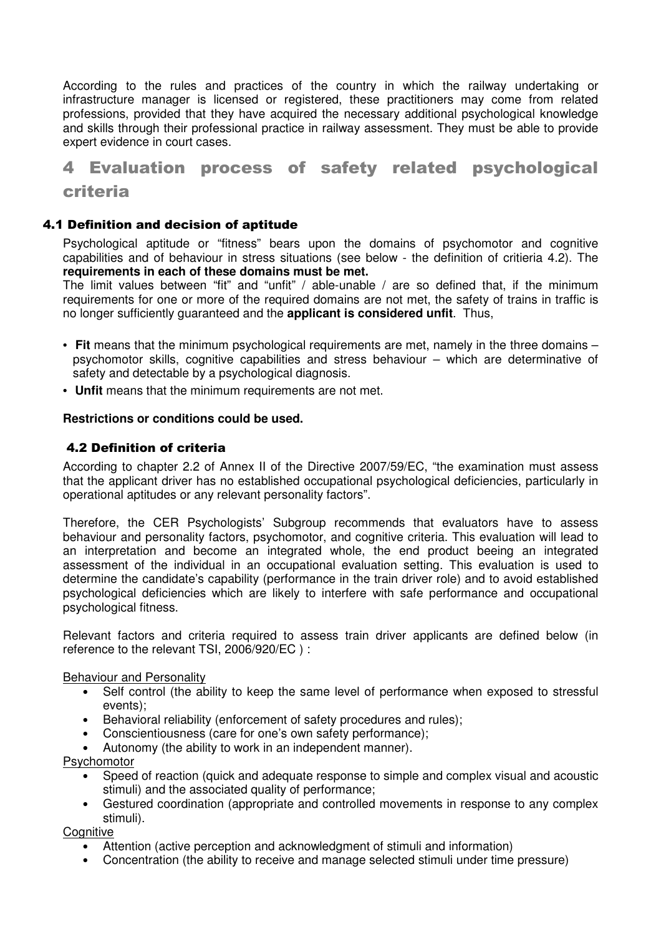According to the rules and practices of the country in which the railway undertaking or infrastructure manager is licensed or registered, these practitioners may come from related professions, provided that they have acquired the necessary additional psychological knowledge and skills through their professional practice in railway assessment. They must be able to provide expert evidence in court cases.

# 4 Evaluation process of safety related psychological criteria

#### 4.1 Definition and decision of aptitude

Psychological aptitude or "fitness" bears upon the domains of psychomotor and cognitive capabilities and of behaviour in stress situations (see below - the definition of critieria 4.2). The **requirements in each of these domains must be met.** 

The limit values between "fit" and "unfit" / able-unable / are so defined that, if the minimum requirements for one or more of the required domains are not met, the safety of trains in traffic is no longer sufficiently guaranteed and the **applicant is considered unfit**. Thus,

- **Fit** means that the minimum psychological requirements are met, namely in the three domains psychomotor skills, cognitive capabilities and stress behaviour – which are determinative of safety and detectable by a psychological diagnosis.
- **Unfit** means that the minimum requirements are not met.

#### **Restrictions or conditions could be used.**

#### 4.2 Definition of criteria

According to chapter 2.2 of Annex II of the Directive 2007/59/EC, "the examination must assess that the applicant driver has no established occupational psychological deficiencies, particularly in operational aptitudes or any relevant personality factors".

Therefore, the CER Psychologists' Subgroup recommends that evaluators have to assess behaviour and personality factors, psychomotor, and cognitive criteria. This evaluation will lead to an interpretation and become an integrated whole, the end product beeing an integrated assessment of the individual in an occupational evaluation setting. This evaluation is used to determine the candidate's capability (performance in the train driver role) and to avoid established psychological deficiencies which are likely to interfere with safe performance and occupational psychological fitness.

Relevant factors and criteria required to assess train driver applicants are defined below (in reference to the relevant TSI, 2006/920/EC ) :

#### Behaviour and Personality

- Self control (the ability to keep the same level of performance when exposed to stressful events);
- Behavioral reliability (enforcement of safety procedures and rules);
- Conscientiousness (care for one's own safety performance);
- Autonomy (the ability to work in an independent manner).

Psychomotor

- Speed of reaction (quick and adequate response to simple and complex visual and acoustic stimuli) and the associated quality of performance;
- Gestured coordination (appropriate and controlled movements in response to any complex stimuli).

**Cognitive** 

- Attention (active perception and acknowledgment of stimuli and information)
- Concentration (the ability to receive and manage selected stimuli under time pressure)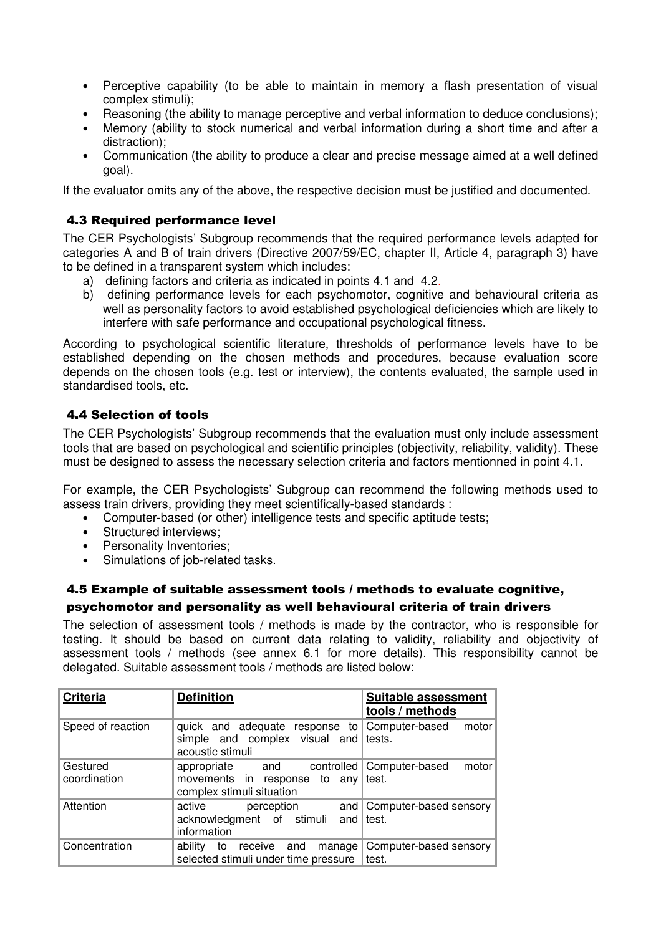- Perceptive capability (to be able to maintain in memory a flash presentation of visual complex stimuli);
- Reasoning (the ability to manage perceptive and verbal information to deduce conclusions);
- Memory (ability to stock numerical and verbal information during a short time and after a distraction);
- Communication (the ability to produce a clear and precise message aimed at a well defined goal).

If the evaluator omits any of the above, the respective decision must be justified and documented.

## 4.3 Required performance level

The CER Psychologists' Subgroup recommends that the required performance levels adapted for categories A and B of train drivers (Directive 2007/59/EC, chapter II, Article 4, paragraph 3) have to be defined in a transparent system which includes:

- a) defining factors and criteria as indicated in points 4.1 and 4.2.
- b) defining performance levels for each psychomotor, cognitive and behavioural criteria as well as personality factors to avoid established psychological deficiencies which are likely to interfere with safe performance and occupational psychological fitness.

According to psychological scientific literature, thresholds of performance levels have to be established depending on the chosen methods and procedures, because evaluation score depends on the chosen tools (e.g. test or interview), the contents evaluated, the sample used in standardised tools, etc.

# 4.4 Selection of tools

The CER Psychologists' Subgroup recommends that the evaluation must only include assessment tools that are based on psychological and scientific principles (objectivity, reliability, validity). These must be designed to assess the necessary selection criteria and factors mentionned in point 4.1.

For example, the CER Psychologists' Subgroup can recommend the following methods used to assess train drivers, providing they meet scientifically-based standards :

- Computer-based (or other) intelligence tests and specific aptitude tests;
- Structured interviews:
- Personality Inventories:
- Simulations of job-related tasks.

# 4.5 Example of suitable assessment tools / methods to evaluate cognitive, psychomotor and personality as well behavioural criteria of train drivers

The selection of assessment tools / methods is made by the contractor, who is responsible for testing. It should be based on current data relating to validity, reliability and objectivity of assessment tools / methods (see annex 6.1 for more details). This responsibility cannot be delegated. Suitable assessment tools / methods are listed below:

| <b>Criteria</b>          | <b>Definition</b>                                                                                  | <b>Suitable assessment</b><br>tools / methods |
|--------------------------|----------------------------------------------------------------------------------------------------|-----------------------------------------------|
| Speed of reaction        | quick and adequate response to<br>simple and complex visual and tests.<br>acoustic stimuli         | Computer-based<br>motor                       |
| Gestured<br>coordination | controlled  <br>appropriate<br>and<br>movements in response<br>to any<br>complex stimuli situation | Computer-based<br>motor<br>test.              |
| Attention                | active<br>perception<br>acknowledgment of stimuli<br>information                                   | and   Computer-based sensory<br>and $ $ test. |
| Concentration            | ability<br>receive<br>manage<br>and<br>to<br>selected stimuli under time pressure                  | Computer-based sensory<br>test.               |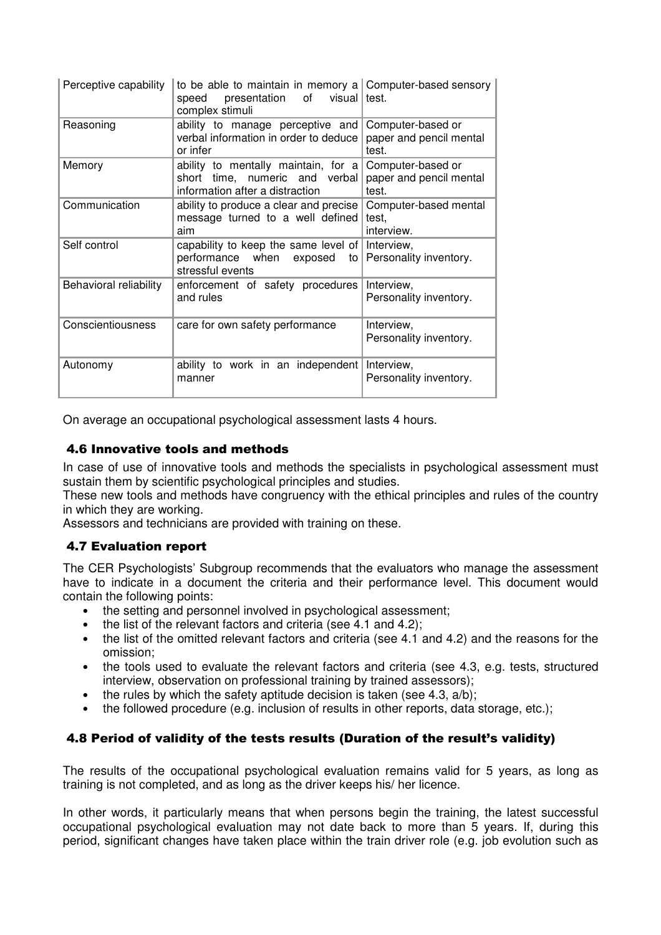| Perceptive capability  | to be able to maintain in memory a Computer-based sensory<br>of<br>presentation<br>visual I test.<br>speed<br>complex stimuli |                                                       |
|------------------------|-------------------------------------------------------------------------------------------------------------------------------|-------------------------------------------------------|
| Reasoning              | ability to manage perceptive and<br>verbal information in order to deduce<br>or infer                                         | Computer-based or<br>paper and pencil mental<br>test. |
| Memory                 | ability to mentally maintain, for a<br>short time, numeric and verbal<br>information after a distraction                      | Computer-based or<br>paper and pencil mental<br>test. |
| Communication          | ability to produce a clear and precise<br>message turned to a well defined<br>aim                                             | Computer-based mental<br>test,<br>interview.          |
| Self control           | capability to keep the same level of<br>performance when<br>exposed<br>to<br>stressful events                                 | Interview,<br>Personality inventory.                  |
| Behavioral reliability | enforcement of safety procedures<br>and rules                                                                                 | Interview,<br>Personality inventory.                  |
| Conscientiousness      | care for own safety performance                                                                                               | Interview,<br>Personality inventory.                  |
| Autonomy               | ability to work in an independent<br>manner                                                                                   | Interview,<br>Personality inventory.                  |

On average an occupational psychological assessment lasts 4 hours.

## 4.6 Innovative tools and methods

In case of use of innovative tools and methods the specialists in psychological assessment must sustain them by scientific psychological principles and studies.

These new tools and methods have congruency with the ethical principles and rules of the country in which they are working.

Assessors and technicians are provided with training on these.

## 4.7 Evaluation report

The CER Psychologists' Subgroup recommends that the evaluators who manage the assessment have to indicate in a document the criteria and their performance level. This document would contain the following points:

- the setting and personnel involved in psychological assessment:
- the list of the relevant factors and criteria (see 4.1 and 4.2);
- the list of the omitted relevant factors and criteria (see 4.1 and 4.2) and the reasons for the omission;
- the tools used to evaluate the relevant factors and criteria (see 4.3, e.g. tests, structured interview, observation on professional training by trained assessors);
- the rules by which the safety aptitude decision is taken (see 4.3,  $a/b$ );
- the followed procedure (e.g. inclusion of results in other reports, data storage, etc.);

# 4.8 Period of validity of the tests results (Duration of the result's validity)

The results of the occupational psychological evaluation remains valid for 5 years, as long as training is not completed, and as long as the driver keeps his/ her licence.

In other words, it particularly means that when persons begin the training, the latest successful occupational psychological evaluation may not date back to more than 5 years. If, during this period, significant changes have taken place within the train driver role (e.g. job evolution such as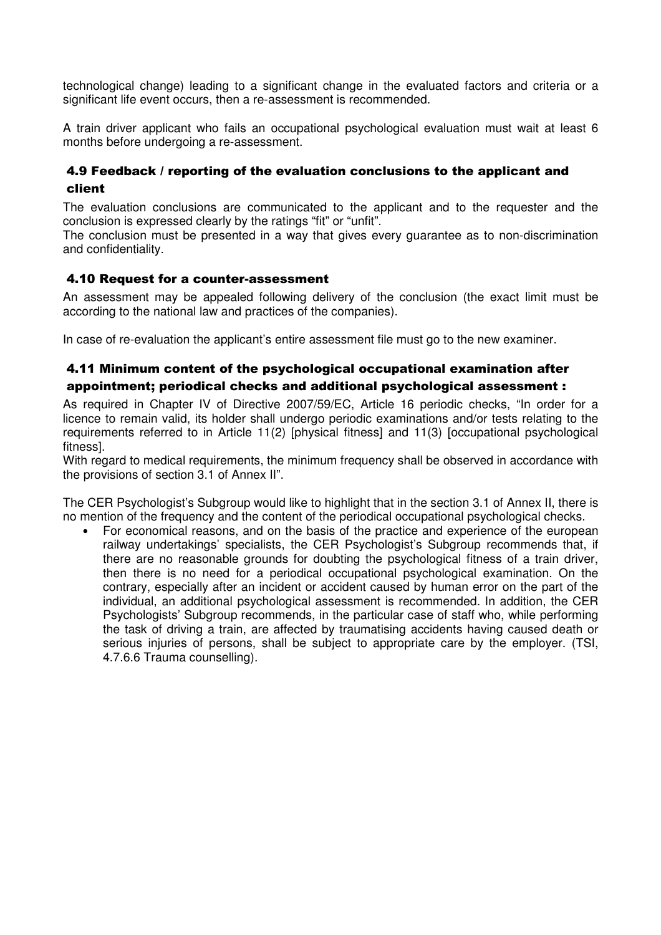technological change) leading to a significant change in the evaluated factors and criteria or a significant life event occurs, then a re-assessment is recommended.

A train driver applicant who fails an occupational psychological evaluation must wait at least 6 months before undergoing a re-assessment.

# 4.9 Feedback / reporting of the evaluation conclusions to the applicant and client

The evaluation conclusions are communicated to the applicant and to the requester and the conclusion is expressed clearly by the ratings "fit" or "unfit".

The conclusion must be presented in a way that gives every guarantee as to non-discrimination and confidentiality.

#### 4.10 Request for a counter-assessment

An assessment may be appealed following delivery of the conclusion (the exact limit must be according to the national law and practices of the companies).

In case of re-evaluation the applicant's entire assessment file must go to the new examiner.

# 4.11 Minimum content of the psychological occupational examination after appointment; periodical checks and additional psychological assessment :

As required in Chapter IV of Directive 2007/59/EC, Article 16 periodic checks, "In order for a licence to remain valid, its holder shall undergo periodic examinations and/or tests relating to the requirements referred to in Article 11(2) [physical fitness] and 11(3) [occupational psychological fitness].

With regard to medical requirements, the minimum frequency shall be observed in accordance with the provisions of section 3.1 of Annex II".

The CER Psychologist's Subgroup would like to highlight that in the section 3.1 of Annex II, there is no mention of the frequency and the content of the periodical occupational psychological checks.

• For economical reasons, and on the basis of the practice and experience of the european railway undertakings' specialists, the CER Psychologist's Subgroup recommends that, if there are no reasonable grounds for doubting the psychological fitness of a train driver, then there is no need for a periodical occupational psychological examination. On the contrary, especially after an incident or accident caused by human error on the part of the individual, an additional psychological assessment is recommended. In addition, the CER Psychologists' Subgroup recommends, in the particular case of staff who, while performing the task of driving a train, are affected by traumatising accidents having caused death or serious injuries of persons, shall be subject to appropriate care by the employer. (TSI, 4.7.6.6 Trauma counselling).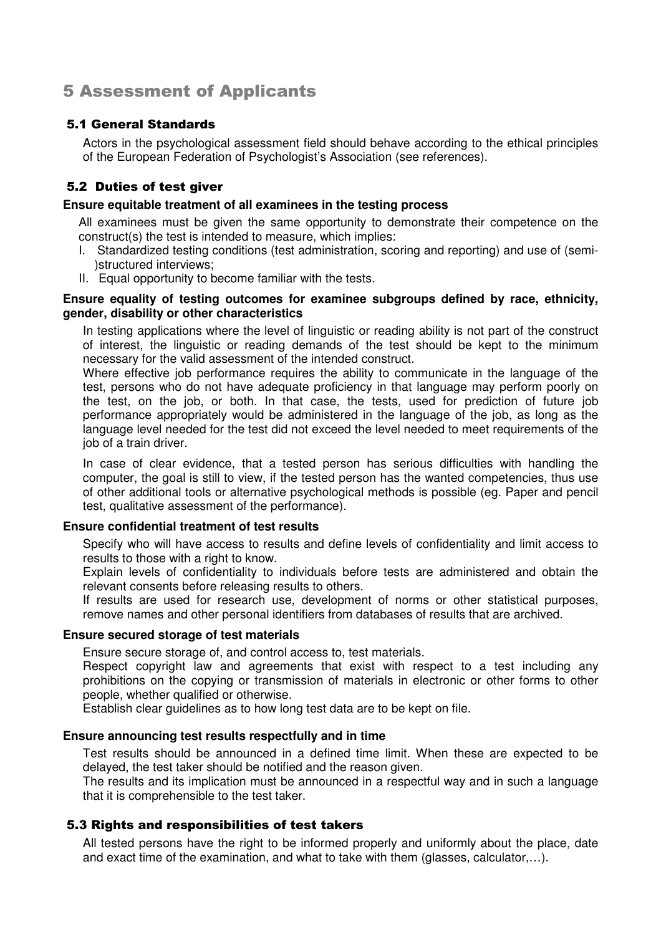# 5 Assessment of Applicants

## 5.1 General Standards

Actors in the psychological assessment field should behave according to the ethical principles of the European Federation of Psychologist's Association (see references).

# 5.2 Duties of test giver

#### **Ensure equitable treatment of all examinees in the testing process**

All examinees must be given the same opportunity to demonstrate their competence on the construct(s) the test is intended to measure, which implies:

- I. Standardized testing conditions (test administration, scoring and reporting) and use of (semi- )structured interviews;
- II. Equal opportunity to become familiar with the tests.

#### **Ensure equality of testing outcomes for examinee subgroups defined by race, ethnicity, gender, disability or other characteristics**

In testing applications where the level of linguistic or reading ability is not part of the construct of interest, the linguistic or reading demands of the test should be kept to the minimum necessary for the valid assessment of the intended construct.

Where effective job performance requires the ability to communicate in the language of the test, persons who do not have adequate proficiency in that language may perform poorly on the test, on the job, or both. In that case, the tests, used for prediction of future job performance appropriately would be administered in the language of the job, as long as the language level needed for the test did not exceed the level needed to meet requirements of the job of a train driver.

In case of clear evidence, that a tested person has serious difficulties with handling the computer, the goal is still to view, if the tested person has the wanted competencies, thus use of other additional tools or alternative psychological methods is possible (eg. Paper and pencil test, qualitative assessment of the performance).

#### **Ensure confidential treatment of test results**

Specify who will have access to results and define levels of confidentiality and limit access to results to those with a right to know.

Explain levels of confidentiality to individuals before tests are administered and obtain the relevant consents before releasing results to others.

If results are used for research use, development of norms or other statistical purposes, remove names and other personal identifiers from databases of results that are archived.

#### **Ensure secured storage of test materials**

Ensure secure storage of, and control access to, test materials.

Respect copyright law and agreements that exist with respect to a test including any prohibitions on the copying or transmission of materials in electronic or other forms to other people, whether qualified or otherwise.

Establish clear guidelines as to how long test data are to be kept on file.

#### **Ensure announcing test results respectfully and in time**

Test results should be announced in a defined time limit. When these are expected to be delayed, the test taker should be notified and the reason given.

The results and its implication must be announced in a respectful way and in such a language that it is comprehensible to the test taker.

## 5.3 Rights and responsibilities of test takers

All tested persons have the right to be informed properly and uniformly about the place, date and exact time of the examination, and what to take with them (glasses, calculator,…).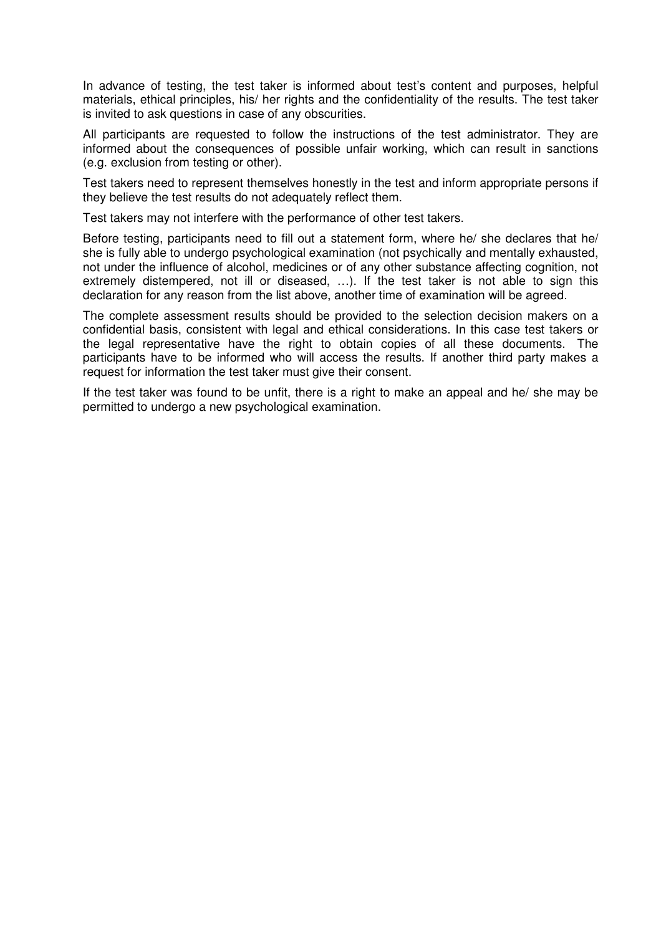In advance of testing, the test taker is informed about test's content and purposes, helpful materials, ethical principles, his/ her rights and the confidentiality of the results. The test taker is invited to ask questions in case of any obscurities.

All participants are requested to follow the instructions of the test administrator. They are informed about the consequences of possible unfair working, which can result in sanctions (e.g. exclusion from testing or other).

Test takers need to represent themselves honestly in the test and inform appropriate persons if they believe the test results do not adequately reflect them.

Test takers may not interfere with the performance of other test takers.

Before testing, participants need to fill out a statement form, where he/ she declares that he/ she is fully able to undergo psychological examination (not psychically and mentally exhausted, not under the influence of alcohol, medicines or of any other substance affecting cognition, not extremely distempered, not ill or diseased, ...). If the test taker is not able to sign this declaration for any reason from the list above, another time of examination will be agreed.

The complete assessment results should be provided to the selection decision makers on a confidential basis, consistent with legal and ethical considerations. In this case test takers or the legal representative have the right to obtain copies of all these documents. The participants have to be informed who will access the results. If another third party makes a request for information the test taker must give their consent.

If the test taker was found to be unfit, there is a right to make an appeal and he/ she may be permitted to undergo a new psychological examination.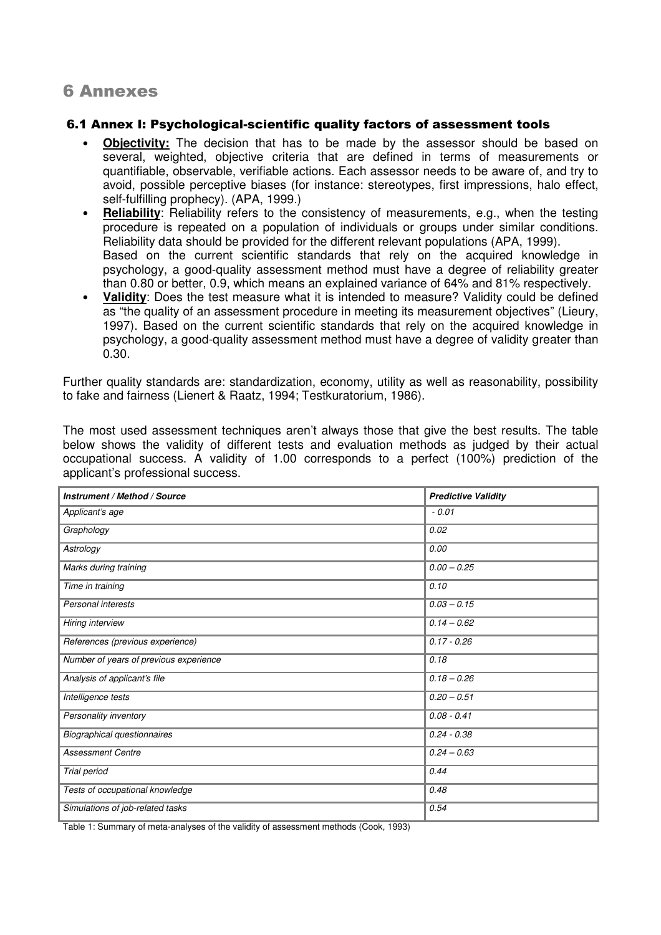# 6 Annexes

#### 6.1 Annex I: Psychological-scientific quality factors of assessment tools

- **Objectivity:** The decision that has to be made by the assessor should be based on several, weighted, objective criteria that are defined in terms of measurements or quantifiable, observable, verifiable actions. Each assessor needs to be aware of, and try to avoid, possible perceptive biases (for instance: stereotypes, first impressions, halo effect, self-fulfilling prophecy). (APA, 1999.)
- **Reliability**: Reliability refers to the consistency of measurements, e.g., when the testing procedure is repeated on a population of individuals or groups under similar conditions. Reliability data should be provided for the different relevant populations (APA, 1999). Based on the current scientific standards that rely on the acquired knowledge in psychology, a good-quality assessment method must have a degree of reliability greater than 0.80 or better, 0.9, which means an explained variance of 64% and 81% respectively.
- **Validity**: Does the test measure what it is intended to measure? Validity could be defined as "the quality of an assessment procedure in meeting its measurement objectives" (Lieury, 1997). Based on the current scientific standards that rely on the acquired knowledge in psychology, a good-quality assessment method must have a degree of validity greater than 0.30.

Further quality standards are: standardization, economy, utility as well as reasonability, possibility to fake and fairness (Lienert & Raatz, 1994; Testkuratorium, 1986).

The most used assessment techniques aren't always those that give the best results. The table below shows the validity of different tests and evaluation methods as judged by their actual occupational success. A validity of 1.00 corresponds to a perfect (100%) prediction of the applicant's professional success.

| Instrument / Method / Source           | <b>Predictive Validity</b> |
|----------------------------------------|----------------------------|
| Applicant's age                        | $-0.01$                    |
| Graphology                             | 0.02                       |
| Astrology                              | 0.00                       |
| Marks during training                  | $0.00 - 0.25$              |
| Time in training                       | 0.10                       |
| Personal interests                     | $0.03 - 0.15$              |
| Hiring interview                       | $0.14 - 0.62$              |
| References (previous experience)       | $0.17 - 0.26$              |
| Number of years of previous experience | 0.18                       |
| Analysis of applicant's file           | $0.18 - 0.26$              |
| Intelligence tests                     | $0.20 - 0.51$              |
| Personality inventory                  | $0.08 - 0.41$              |
| <b>Biographical questionnaires</b>     | $0.24 - 0.38$              |
| <b>Assessment Centre</b>               | $0.24 - 0.63$              |
| <b>Trial period</b>                    | 0.44                       |
| Tests of occupational knowledge        | 0.48                       |
| Simulations of job-related tasks       | 0.54                       |

Table 1: Summary of meta-analyses of the validity of assessment methods (Cook, 1993)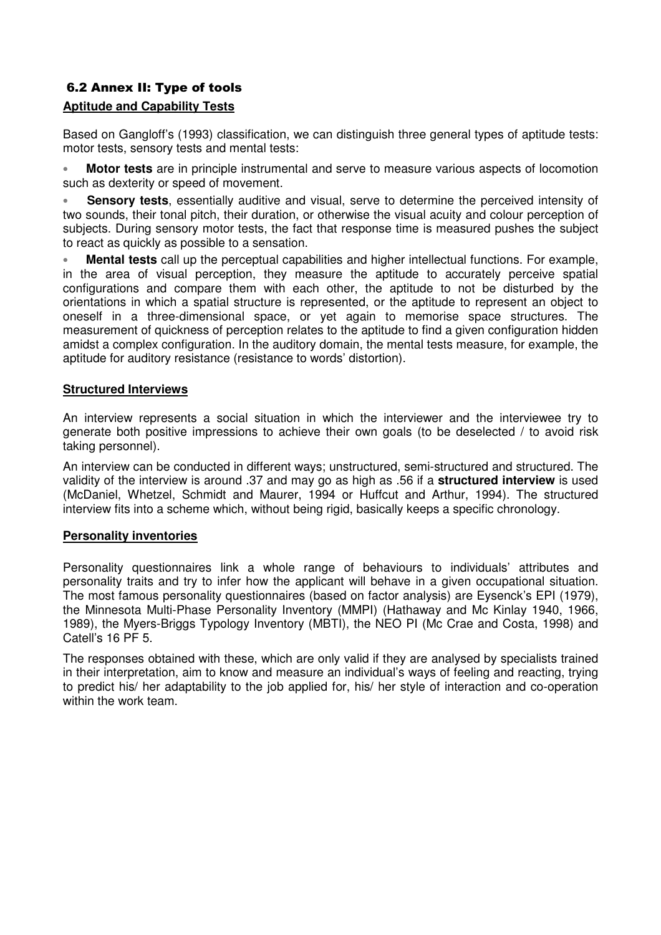# 6.2 Annex II: Type of tools

# **Aptitude and Capability Tests**

Based on Gangloff's (1993) classification, we can distinguish three general types of aptitude tests: motor tests, sensory tests and mental tests:

• **Motor tests** are in principle instrumental and serve to measure various aspects of locomotion such as dexterity or speed of movement.

• **Sensory tests**, essentially auditive and visual, serve to determine the perceived intensity of two sounds, their tonal pitch, their duration, or otherwise the visual acuity and colour perception of subjects. During sensory motor tests, the fact that response time is measured pushes the subject to react as quickly as possible to a sensation.

• **Mental tests** call up the perceptual capabilities and higher intellectual functions. For example, in the area of visual perception, they measure the aptitude to accurately perceive spatial configurations and compare them with each other, the aptitude to not be disturbed by the orientations in which a spatial structure is represented, or the aptitude to represent an object to oneself in a three-dimensional space, or yet again to memorise space structures. The measurement of quickness of perception relates to the aptitude to find a given configuration hidden amidst a complex configuration. In the auditory domain, the mental tests measure, for example, the aptitude for auditory resistance (resistance to words' distortion).

#### **Structured Interviews**

An interview represents a social situation in which the interviewer and the interviewee try to generate both positive impressions to achieve their own goals (to be deselected / to avoid risk taking personnel).

An interview can be conducted in different ways; unstructured, semi-structured and structured. The validity of the interview is around .37 and may go as high as .56 if a **structured interview** is used (McDaniel, Whetzel, Schmidt and Maurer, 1994 or Huffcut and Arthur, 1994). The structured interview fits into a scheme which, without being rigid, basically keeps a specific chronology.

#### **Personality inventories**

Personality questionnaires link a whole range of behaviours to individuals' attributes and personality traits and try to infer how the applicant will behave in a given occupational situation. The most famous personality questionnaires (based on factor analysis) are Eysenck's EPI (1979), the Minnesota Multi-Phase Personality Inventory (MMPI) (Hathaway and Mc Kinlay 1940, 1966, 1989), the Myers-Briggs Typology Inventory (MBTI), the NEO PI (Mc Crae and Costa, 1998) and Catell's 16 PF 5.

The responses obtained with these, which are only valid if they are analysed by specialists trained in their interpretation, aim to know and measure an individual's ways of feeling and reacting, trying to predict his/ her adaptability to the job applied for, his/ her style of interaction and co-operation within the work team.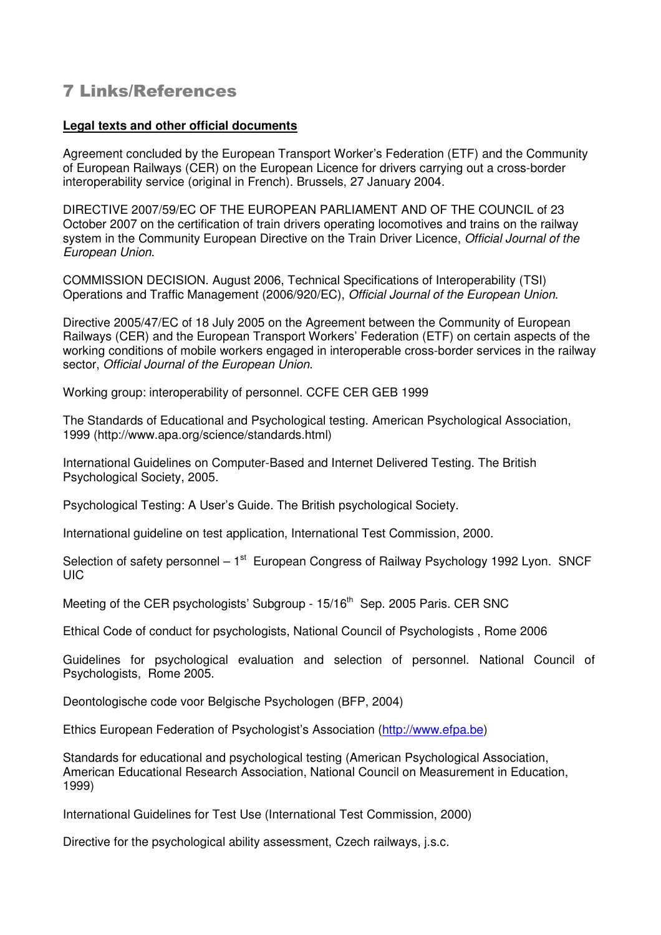# 7 Links/References

#### **Legal texts and other official documents**

Agreement concluded by the European Transport Worker's Federation (ETF) and the Community of European Railways (CER) on the European Licence for drivers carrying out a cross-border interoperability service (original in French). Brussels, 27 January 2004.

DIRECTIVE 2007/59/EC OF THE EUROPEAN PARLIAMENT AND OF THE COUNCIL of 23 October 2007 on the certification of train drivers operating locomotives and trains on the railway system in the Community European Directive on the Train Driver Licence, Official Journal of the European Union.

COMMISSION DECISION. August 2006, Technical Specifications of Interoperability (TSI) Operations and Traffic Management (2006/920/EC), Official Journal of the European Union.

Directive 2005/47/EC of 18 July 2005 on the Agreement between the Community of European Railways (CER) and the European Transport Workers' Federation (ETF) on certain aspects of the working conditions of mobile workers engaged in interoperable cross-border services in the railway sector, Official Journal of the European Union.

Working group: interoperability of personnel. CCFE CER GEB 1999

The Standards of Educational and Psychological testing. American Psychological Association, 1999 (http://www.apa.org/science/standards.html)

International Guidelines on Computer-Based and Internet Delivered Testing. The British Psychological Society, 2005.

Psychological Testing: A User's Guide. The British psychological Society.

International guideline on test application, International Test Commission, 2000.

Selection of safety personnel –  $1<sup>st</sup>$  European Congress of Railway Psychology 1992 Lyon. SNCF UIC

Meeting of the CER psychologists' Subgroup - 15/16<sup>th</sup> Sep. 2005 Paris. CER SNC

Ethical Code of conduct for psychologists, National Council of Psychologists , Rome 2006

Guidelines for psychological evaluation and selection of personnel. National Council of Psychologists, Rome 2005.

Deontologische code voor Belgische Psychologen (BFP, 2004)

Ethics European Federation of Psychologist's Association (http://www.efpa.be)

Standards for educational and psychological testing (American Psychological Association, American Educational Research Association, National Council on Measurement in Education, 1999)

International Guidelines for Test Use (International Test Commission, 2000)

Directive for the psychological ability assessment, Czech railways, j.s.c.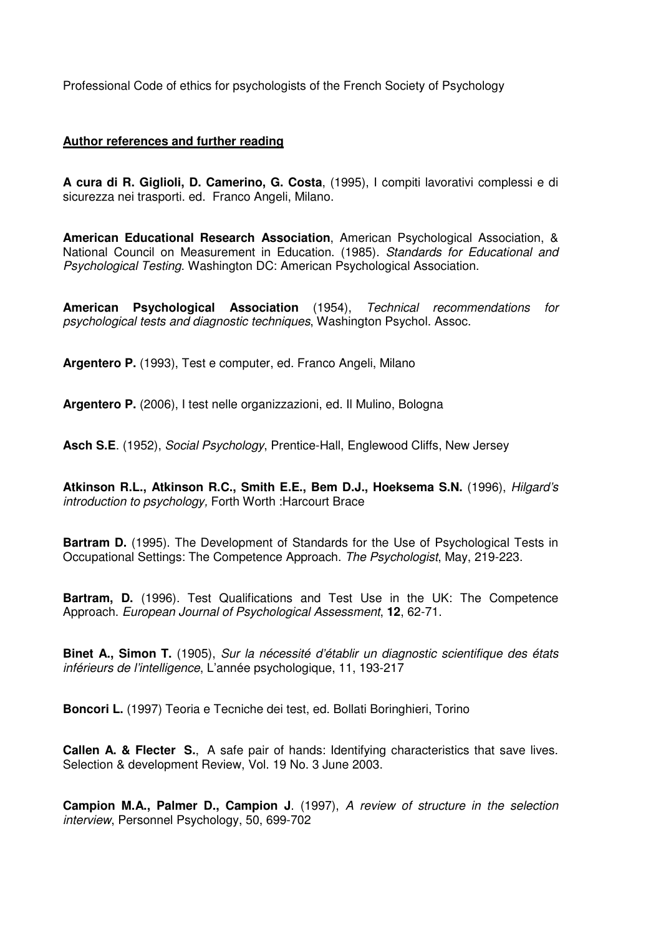Professional Code of ethics for psychologists of the French Society of Psychology

#### **Author references and further reading**

**A cura di R. Giglioli, D. Camerino, G. Costa**, (1995), I compiti lavorativi complessi e di sicurezza nei trasporti. ed. Franco Angeli, Milano.

**American Educational Research Association**, American Psychological Association, & National Council on Measurement in Education. (1985). Standards for Educational and Psychological Testing. Washington DC: American Psychological Association.

**American Psychological Association** (1954), Technical recommendations for psychological tests and diagnostic techniques, Washington Psychol. Assoc.

**Argentero P.** (1993), Test e computer, ed. Franco Angeli, Milano

**Argentero P.** (2006), I test nelle organizzazioni, ed. Il Mulino, Bologna

**Asch S.E**. (1952), Social Psychology, Prentice-Hall, Englewood Cliffs, New Jersey

**Atkinson R.L., Atkinson R.C., Smith E.E., Bem D.J., Hoeksema S.N.** (1996), Hilgard's introduction to psychology, Forth Worth :Harcourt Brace

**Bartram D.** (1995). The Development of Standards for the Use of Psychological Tests in Occupational Settings: The Competence Approach. The Psychologist, May, 219-223.

**Bartram, D.** (1996). Test Qualifications and Test Use in the UK: The Competence Approach. European Journal of Psychological Assessment, **12**, 62-71.

**Binet A., Simon T.** (1905), Sur la nécessité d'établir un diagnostic scientifique des états inférieurs de l'intelligence, L'année psychologique, 11, 193-217

**Boncori L.** (1997) Teoria e Tecniche dei test, ed. Bollati Boringhieri, Torino

**Callen A. & Flecter S., A safe pair of hands: Identifying characteristics that save lives.** Selection & development Review, Vol. 19 No. 3 June 2003.

**Campion M.A., Palmer D., Campion J**. (1997), A review of structure in the selection interview, Personnel Psychology, 50, 699-702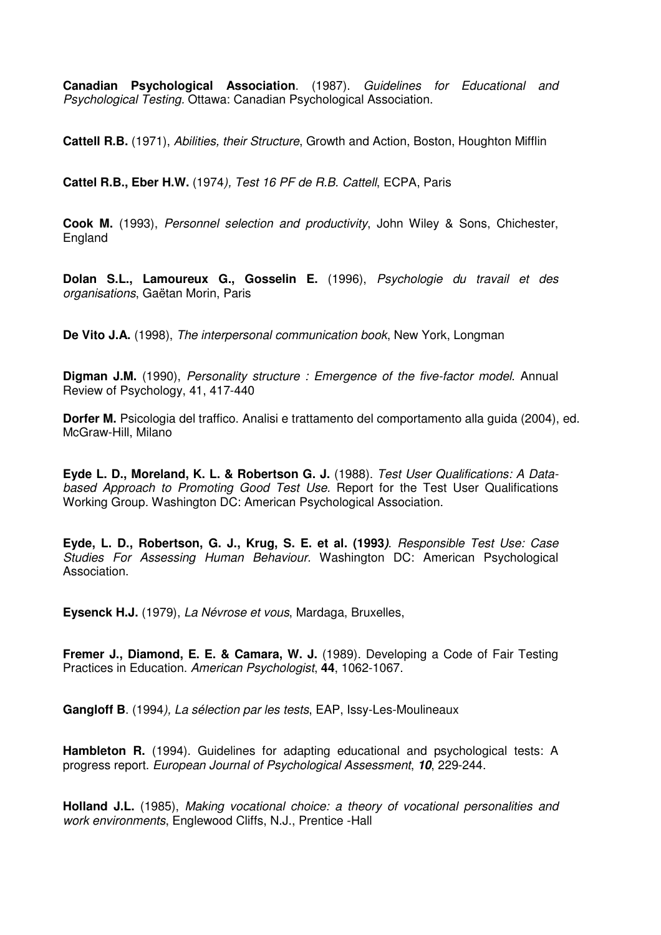**Canadian Psychological Association**. (1987). Guidelines for Educational and Psychological Testing. Ottawa: Canadian Psychological Association.

**Cattell R.B.** (1971), Abilities, their Structure, Growth and Action, Boston, Houghton Mifflin

**Cattel R.B., Eber H.W.** (1974), Test 16 PF de R.B. Cattell, ECPA, Paris

**Cook M.** (1993), Personnel selection and productivity, John Wiley & Sons, Chichester, England

**Dolan S.L., Lamoureux G., Gosselin E.** (1996), Psychologie du travail et des organisations, Gaëtan Morin, Paris

**De Vito J.A.** (1998), The interpersonal communication book, New York, Longman

**Digman J.M.** (1990), Personality structure : Emergence of the five-factor model. Annual Review of Psychology, 41, 417-440

**Dorfer M.** Psicologia del traffico. Analisi e trattamento del comportamento alla guida (2004), ed. McGraw-Hill, Milano

**Eyde L. D., Moreland, K. L. & Robertson G. J.** (1988). Test User Qualifications: A Databased Approach to Promoting Good Test Use. Report for the Test User Qualifications Working Group. Washington DC: American Psychological Association.

**Eyde, L. D., Robertson, G. J., Krug, S. E. et al. (1993)**. Responsible Test Use: Case Studies For Assessing Human Behaviour. Washington DC: American Psychological Association.

**Eysenck H.J.** (1979), La Névrose et vous, Mardaga, Bruxelles,

**Fremer J., Diamond, E. E. & Camara, W. J.** (1989). Developing a Code of Fair Testing Practices in Education. American Psychologist, **44**, 1062-1067.

**Gangloff B**. (1994), La sélection par les tests, EAP, Issy-Les-Moulineaux

**Hambleton R.** (1994). Guidelines for adapting educational and psychological tests: A progress report. European Journal of Psychological Assessment, **10**, 229-244.

**Holland J.L.** (1985), Making vocational choice: a theory of vocational personalities and work environments, Englewood Cliffs, N.J., Prentice -Hall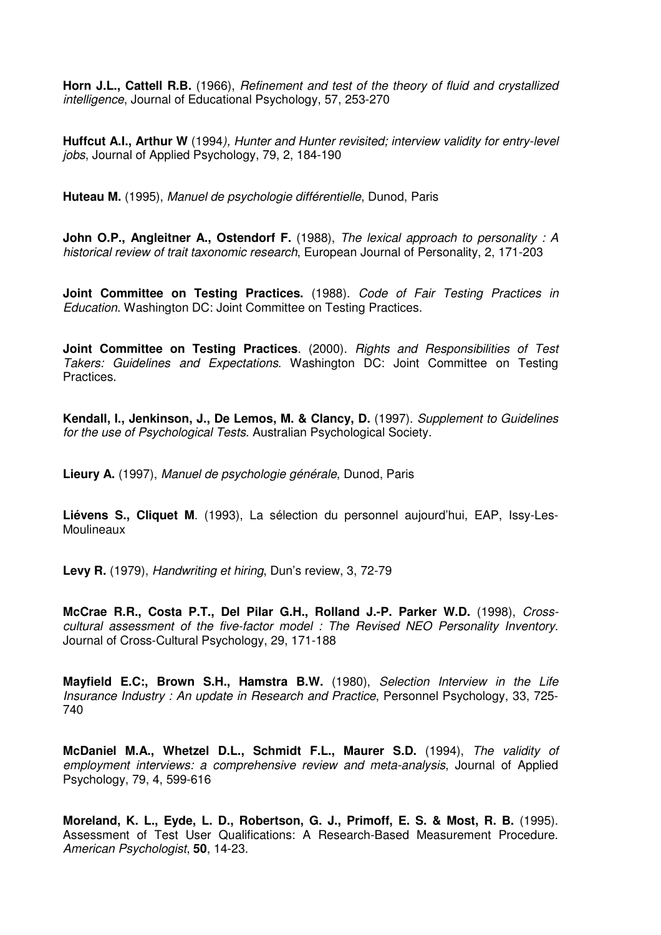**Horn J.L., Cattell R.B.** (1966), Refinement and test of the theory of fluid and crystallized intelligence, Journal of Educational Psychology, 57, 253-270

**Huffcut A.I., Arthur W** (1994), Hunter and Hunter revisited; interview validity for entry-level jobs, Journal of Applied Psychology, 79, 2, 184-190

**Huteau M.** (1995), Manuel de psychologie différentielle, Dunod, Paris

**John O.P., Angleitner A., Ostendorf F.** (1988), The lexical approach to personality : A historical review of trait taxonomic research, European Journal of Personality, 2, 171-203

**Joint Committee on Testing Practices.** (1988). Code of Fair Testing Practices in Education. Washington DC: Joint Committee on Testing Practices.

**Joint Committee on Testing Practices**. (2000). Rights and Responsibilities of Test Takers: Guidelines and Expectations. Washington DC: Joint Committee on Testing Practices.

**Kendall, I., Jenkinson, J., De Lemos, M. & Clancy, D.** (1997). Supplement to Guidelines for the use of Psychological Tests. Australian Psychological Society.

**Lieury A.** (1997), Manuel de psychologie générale, Dunod, Paris

**Liévens S., Cliquet M**. (1993), La sélection du personnel aujourd'hui, EAP, Issy-Les-Moulineaux

**Levy R.** (1979), Handwriting et hiring, Dun's review, 3, 72-79

**McCrae R.R., Costa P.T., Del Pilar G.H., Rolland J.-P. Parker W.D.** (1998), Crosscultural assessment of the five-factor model : The Revised NEO Personality Inventory. Journal of Cross-Cultural Psychology, 29, 171-188

**Mayfield E.C:, Brown S.H., Hamstra B.W.** (1980), Selection Interview in the Life Insurance Industry : An update in Research and Practice, Personnel Psychology, 33, 725- 740

**McDaniel M.A., Whetzel D.L., Schmidt F.L., Maurer S.D.** (1994), The validity of employment interviews: a comprehensive review and meta-analysis, Journal of Applied Psychology, 79, 4, 599-616

**Moreland, K. L., Eyde, L. D., Robertson, G. J., Primoff, E. S. & Most, R. B.** (1995). Assessment of Test User Qualifications: A Research-Based Measurement Procedure. American Psychologist, **50**, 14-23.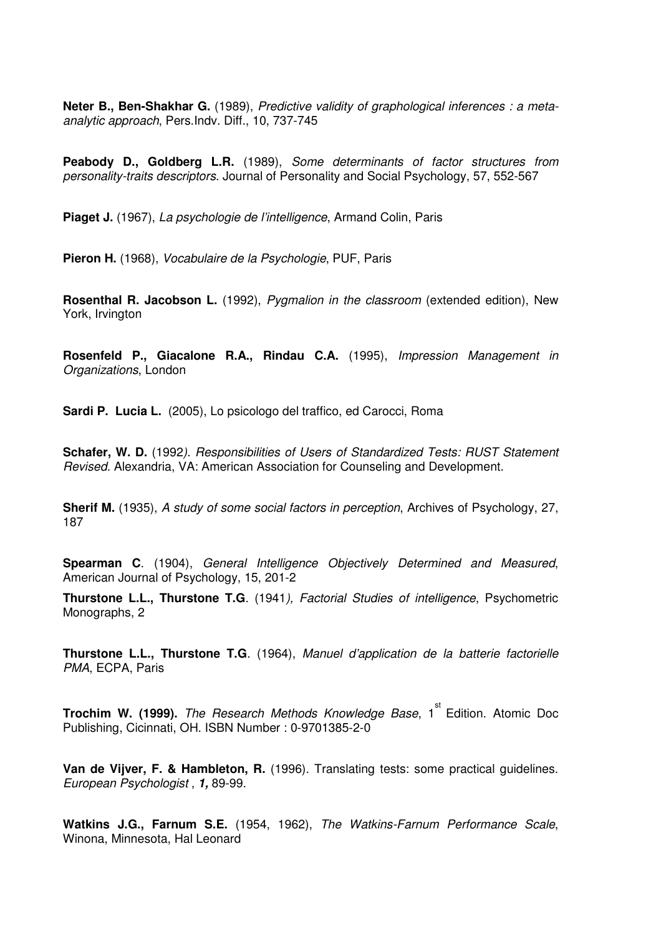**Neter B., Ben-Shakhar G.** (1989), Predictive validity of graphological inferences : a metaanalytic approach, Pers.Indv. Diff., 10, 737-745

**Peabody D., Goldberg L.R.** (1989), Some determinants of factor structures from personality-traits descriptors. Journal of Personality and Social Psychology, 57, 552-567

Piaget J. (1967), La psychologie de l'intelligence, Armand Colin, Paris

**Pieron H.** (1968), Vocabulaire de la Psychologie, PUF, Paris

**Rosenthal R. Jacobson L.** (1992), Pygmalion in the classroom (extended edition), New York, Irvington

**Rosenfeld P., Giacalone R.A., Rindau C.A.** (1995), Impression Management in Organizations, London

**Sardi P. Lucia L.** (2005), Lo psicologo del traffico, ed Carocci, Roma

**Schafer, W. D.** (1992). Responsibilities of Users of Standardized Tests: RUST Statement Revised. Alexandria, VA: American Association for Counseling and Development.

**Sherif M.** (1935), A study of some social factors in perception, Archives of Psychology, 27, 187

**Spearman C**. (1904), General Intelligence Objectively Determined and Measured, American Journal of Psychology, 15, 201-2

**Thurstone L.L., Thurstone T.G**. (1941), Factorial Studies of intelligence, Psychometric Monographs, 2

**Thurstone L.L., Thurstone T.G**. (1964), Manuel d'application de la batterie factorielle PMA, ECPA, Paris

**Trochim W. (1999).** The Research Methods Knowledge Base, 1<sup>st</sup> Edition. Atomic Doc Publishing, Cicinnati, OH. ISBN Number : 0-9701385-2-0

**Van de Vijver, F. & Hambleton, R.** (1996). Translating tests: some practical guidelines. European Psychologist , **1,** 89-99.

**Watkins J.G., Farnum S.E.** (1954, 1962), The Watkins-Farnum Performance Scale, Winona, Minnesota, Hal Leonard